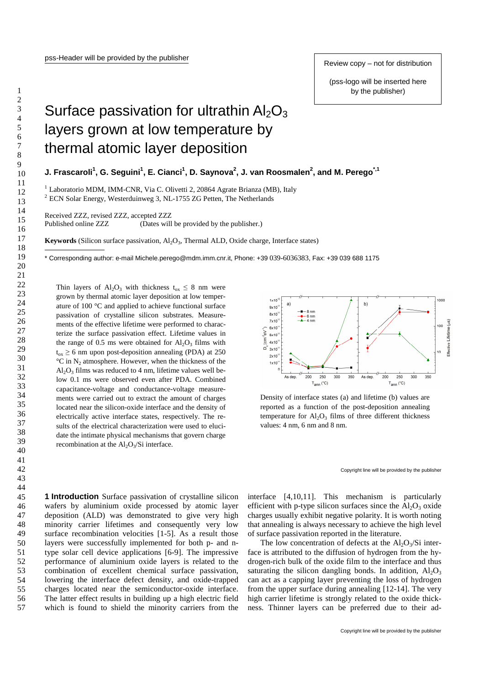(pss-logo will be inserted here by the publisher)

## Surface passivation for ultrathin  $Al_2O_3$ layers grown at low temperature by thermal atomic layer deposition

**J. Frascaroli<sup>1</sup> , G. Seguini<sup>1</sup> , E. Cianci<sup>1</sup> , D. Saynova<sup>2</sup> , J. van Roosmalen<sup>2</sup> , and M. Perego\*,1**

<sup>1</sup> Laboratorio MDM, IMM-CNR, Via C. Olivetti 2, 20864 Agrate Brianza (MB), Italy

 $2$  ECN Solar Energy, Westerduinweg 3, NL-1755 ZG Petten, The Netherlands

Received ZZZ, revised ZZZ, accepted ZZZ Published online ZZZ (Dates will be provided by the publisher.)

**Keywords** (Silicon surface passivation, Al<sub>2</sub>O<sub>3</sub>, Thermal ALD, Oxide charge, Interface states)

\* Corresponding author: e-mail Michele.perego@mdm.imm.cnr.it, Phone: +39 039-6036383, Fax: +39 039 688 1175

Thin layers of  $Al_2O_3$  with thickness  $t_{ox} \leq 8$  nm were grown by thermal atomic layer deposition at low temperature of 100 °C and applied to achieve functional surface passivation of crystalline silicon substrates. Measurements of the effective lifetime were performed to characterize the surface passivation effect. Lifetime values in the range of 0.5 ms were obtained for  $Al_2O_3$  films with  $t_{ox} \ge 6$  nm upon post-deposition annealing (PDA) at 250  ${}^{\circ}$ C in N<sub>2</sub> atmosphere. However, when the thickness of the  $Al_2O_3$  films was reduced to 4 nm, lifetime values well below 0.1 ms were observed even after PDA. Combined capacitance-voltage and conductance-voltage measurements were carried out to extract the amount of charges located near the silicon-oxide interface and the density of electrically active interface states, respectively. The results of the electrical characterization were used to elucidate the intimate physical mechanisms that govern charge recombination at the  $Al_2O_3/Si$  interface.



Density of interface states (a) and lifetime (b) values are reported as a function of the post-deposition annealing temperature for  $Al_2O_3$  films of three different thickness values: 4 nm, 6 nm and 8 nm.

Copyright line will be provided by the publisher

**1 Introduction** Surface passivation of crystalline silicon wafers by aluminium oxide processed by atomic layer deposition (ALD) was demonstrated to give very high minority carrier lifetimes and consequently very low surface recombination velocities [1-5]. As a result those layers were successfully implemented for both p- and ntype solar cell device applications [6-9]. The impressive performance of aluminium oxide layers is related to the combination of excellent chemical surface passivation, lowering the interface defect density, and oxide-trapped charges located near the semiconductor-oxide interface. The latter effect results in building up a high electric field which is found to shield the minority carriers from the interface [4,10,11]. This mechanism is particularly efficient with p-type silicon surfaces since the  $Al_2O_3$  oxide charges usually exhibit negative polarity. It is worth noting that annealing is always necessary to achieve the high level of surface passivation reported in the literature.

The low concentration of defects at the  $Al_2O_3/Si$  interface is attributed to the diffusion of hydrogen from the hydrogen-rich bulk of the oxide film to the interface and thus saturating the silicon dangling bonds. In addition,  $Al_2O_3$ can act as a capping layer preventing the loss of hydrogen from the upper surface during annealing [12-14]. The very high carrier lifetime is strongly related to the oxide thickness. Thinner layers can be preferred due to their ad-

-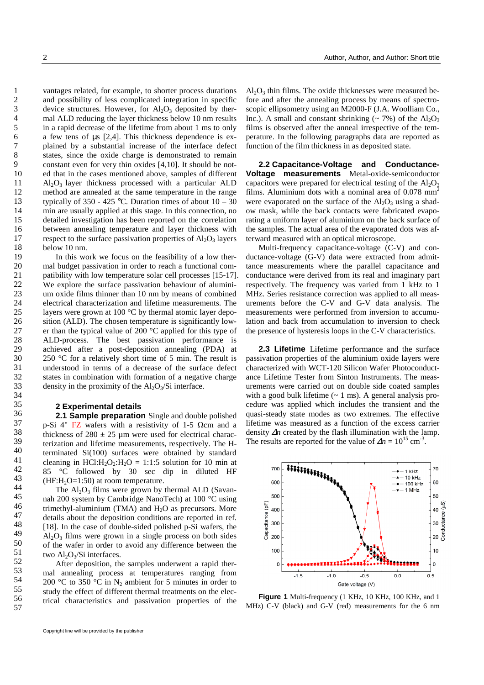vantages related, for example, to shorter process durations and possibility of less complicated integration in specific device structures. However, for  $Al_2O_3$  deposited by thermal ALD reducing the layer thickness below 10 nm results in a rapid decrease of the lifetime from about 1 ms to only a few tens of µs [2,4]. This thickness dependence is explained by a substantial increase of the interface defect states, since the oxide charge is demonstrated to remain constant even for very thin oxides [4,10]. It should be noted that in the cases mentioned above, samples of different  $Al_2O_3$  layer thickness processed with a particular ALD method are annealed at the same temperature in the range typically of 350 - 425 °C. Duration times of about  $10 - 30$ min are usually applied at this stage. In this connection, no detailed investigation has been reported on the correlation between annealing temperature and layer thickness with respect to the surface passivation properties of  $Al_2O_3$  layers below 10 nm.

In this work we focus on the feasibility of a low thermal budget passivation in order to reach a functional compatibility with low temperature solar cell processes [15-17]. We explore the surface passivation behaviour of aluminium oxide films thinner than 10 nm by means of combined electrical characterization and lifetime measurements. The layers were grown at 100 °C by thermal atomic layer deposition (ALD). The chosen temperature is significantly lower than the typical value of 200 °C applied for this type of ALD-process. The best passivation performance is achieved after a post-deposition annealing (PDA) at 250 °C for a relatively short time of 5 min. The result is understood in terms of a decrease of the surface defect states in combination with formation of a negative charge density in the proximity of the  $Al_2O_3/Si$  interface.

## **2 Experimental details**

**2.1 Sample preparation** Single and double polished p-Si 4" FZ wafers with a resistivity of 1-5  $\Omega$ cm and a thickness of  $280 \pm 25$  µm were used for electrical characterization and lifetime measurements, respectively. The Hterminated Si(100) surfaces were obtained by standard cleaning in HCl:H<sub>2</sub>O<sub>2</sub>:H<sub>2</sub>O = 1:1:5 solution for 10 min at 85 °C followed by 30 sec dip in diluted HF  $(HF:H<sub>2</sub>O=1:50)$  at room temperature.

The  $Al_2O_3$  films were grown by thermal ALD (Savannah 200 system by Cambridge NanoTech) at 100 °C using trimethyl-aluminium (TMA) and  $H_2O$  as precursors. More details about the deposition conditions are reported in ref. [18]. In the case of double-sided polished p-Si wafers, the  $Al_2O_3$  films were grown in a single process on both sides of the wafer in order to avoid any difference between the two  $Al_2O_3/Si$  interfaces.

After deposition, the samples underwent a rapid thermal annealing process at temperatures ranging from 200 °C to 350 °C in  $N_2$  ambient for 5 minutes in order to study the effect of different thermal treatments on the electrical characteristics and passivation properties of the

 $Al_2O_3$  thin films. The oxide thicknesses were measured before and after the annealing process by means of spectroscopic ellipsometry using an M2000-F (J.A. Woolliam Co., Inc.). A small and constant shrinking ( $\sim$  7%) of the Al<sub>2</sub>O<sub>3</sub> films is observed after the anneal irrespective of the temperature. In the following paragraphs data are reported as function of the film thickness in as deposited state.

**2.2 Capacitance-Voltage and Conductance-Voltage measurements** Metal-oxide-semiconductor capacitors were prepared for electrical testing of the  $Al_2O_3$ films. Aluminium dots with a nominal area of  $0.078$  mm<sup>2</sup> were evaporated on the surface of the  $Al_2O_3$  using a shadow mask, while the back contacts were fabricated evaporating a uniform layer of aluminium on the back surface of the samples. The actual area of the evaporated dots was afterward measured with an optical microscope.

Multi-frequency capacitance-voltage (C-V) and conductance-voltage (G-V) data were extracted from admittance measurements where the parallel capacitance and conductance were derived from its real and imaginary part respectively. The frequency was varied from 1 kHz to 1 MHz. Series resistance correction was applied to all measurements before the C-V and G-V data analysis. The measurements were performed from inversion to accumulation and back from accumulation to inversion to check the presence of hysteresis loops in the C-V characteristics.

**2.3 Lifetime** Lifetime performance and the surface passivation properties of the aluminium oxide layers were characterized with WCT-120 Silicon Wafer Photoconductance Lifetime Tester from Sinton Instruments. The measurements were carried out on double side coated samples with a good bulk lifetime  $($   $\sim$  1 ms). A general analysis procedure was applied which includes the transient and the quasi-steady state modes as two extremes. The effective lifetime was measured as a function of the excess carrier density ∆*n* created by the flash illumination with the lamp. The results are reported for the value of  $\Delta n = 10^{15}$  cm<sup>-3</sup>.



**Figure 1** Multi-frequency (1 KHz, 10 KHz, 100 KHz, and 1 MHz) C-V (black) and G-V (red) measurements for the 6 nm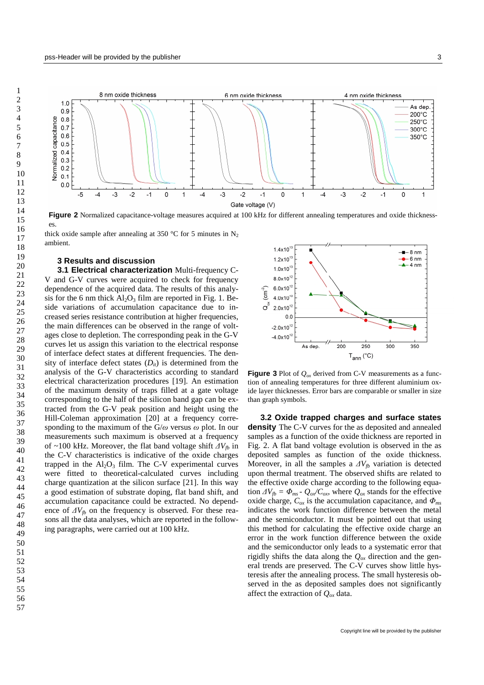

**Figure 2** Normalized capacitance-voltage measures acquired at 100 kHz for different annealing temperatures and oxide thicknesses.

thick oxide sample after annealing at 350 °C for 5 minutes in  $N_2$ ambient.

## **3 Results and discussion**

**3.1 Electrical characterization** Multi-frequency C-V and G-V curves were acquired to check for frequency dependence of the acquired data. The results of this analysis for the 6 nm thick  $Al_2O_3$  film are reported in Fig. 1. Beside variations of accumulation capacitance due to increased series resistance contribution at higher frequencies, the main differences can be observed in the range of voltages close to depletion. The corresponding peak in the G-V curves let us assign this variation to the electrical response of interface defect states at different frequencies. The density of interface defect states  $(D_{it})$  is determined from the analysis of the G-V characteristics according to standard electrical characterization procedures [19]. An estimation of the maximum density of traps filled at a gate voltage corresponding to the half of the silicon band gap can be extracted from the G-V peak position and height using the Hill-Coleman approximation [20] at a frequency corresponding to the maximum of the G/*ω* versus *ω* plot. In our measurements such maximum is observed at a frequency of ~100 kHz. Moreover, the flat band voltage shift *∆Vfb* in the C-V characteristics is indicative of the oxide charges trapped in the  $Al_2O_3$  film. The C-V experimental curves were fitted to theoretical-calculated curves including charge quantization at the silicon surface [21]. In this way a good estimation of substrate doping, flat band shift, and accumulation capacitance could be extracted. No dependence of  $\Delta V_{tb}$  on the frequency is observed. For these reasons all the data analyses, which are reported in the following paragraphs, were carried out at 100 kHz.



**Figure 3** Plot of  $Q_{ox}$  derived from C-V measurements as a function of annealing temperatures for three different aluminium oxide layer thicknesses. Error bars are comparable or smaller in size than graph symbols.

**3.2 Oxide trapped charges and surface states density** The C-V curves for the as deposited and annealed samples as a function of the oxide thickness are reported in Fig. 2. A flat band voltage evolution is observed in the as deposited samples as function of the oxide thickness. Moreover, in all the samples a  $\Delta V_{fb}$  variation is detected upon thermal treatment. The observed shifts are related to the effective oxide charge according to the following equation  $\Delta V_{fb} = \Phi_{ms}$  -  $Q_{ox}/C_{ox}$ , where  $Q_{ox}$  stands for the effective oxide charge,  $C_{ox}$  is the accumulation capacitance, and  $\Phi_{ms}$ indicates the work function difference between the metal and the semiconductor. It must be pointed out that using this method for calculating the effective oxide charge an error in the work function difference between the oxide and the semiconductor only leads to a systematic error that rigidly shifts the data along the  $Q_{\alpha x}$  direction and the general trends are preserved. The C-V curves show little hysteresis after the annealing process. The small hysteresis observed in the as deposited samples does not significantly affect the extraction of *Qox* data.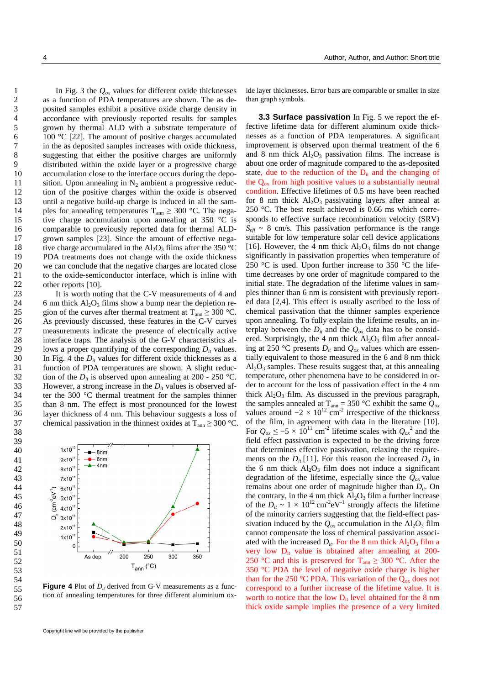In Fig. 3 the  $Q_{\alpha x}$  values for different oxide thicknesses as a function of PDA temperatures are shown. The as deposited samples exhibit a positive oxide charge density in accordance with previously reported results for samples grown by thermal ALD with a substrate temperature of 100 °C [22]. The amount of positive charges accumulated in the as deposited samples increases with oxide thickness, suggesting that either the positive charges are uniformly distributed within the oxide layer or a progressive charge accumulation close to the interface occurs during the deposition. Upon annealing in  $N_2$  ambient a progressive reduction of the positive charges within the oxide is observed until a negative build-up charge is induced in all the samples for annealing temperatures  $T_{\text{ann}} \geq 300$  °C. The negative charge accumulation upon annealing at 350 °C is comparable to previously reported data for thermal ALDgrown samples [23]. Since the amount of effective negative charge accumulated in the  $Al_2O_3$  films after the 350 °C PDA treatments does not change with the oxide thickness we can conclude that the negative charges are located close to the oxide-semiconductor interface, which is inline with other reports [10].

It is worth noting that the C-V measurements of 4 and 6 nm thick  $Al_2O_3$  films show a bump near the depletion region of the curves after thermal treatment at  $T_{\text{ann}} \geq 300 \text{ °C}$ . As previously discussed, these features in the C-V curves measurements indicate the presence of electrically active interface traps. The analysis of the G-V characteristics allows a proper quantifying of the corresponding  $D_{it}$  values. In Fig. 4 the  $D_i$  values for different oxide thicknesses as a function of PDA temperatures are shown. A slight reduction of the  $D_{it}$  is observed upon annealing at 200 - 250 °C. However, a strong increase in the  $D_i$  values is observed after the 300 °C thermal treatment for the samples thinner than 8 nm. The effect is most pronounced for the lowest layer thickness of 4 nm. This behaviour suggests a loss of chemical passivation in the thinnest oxides at  $T_{\text{ann}} \geq 300$  °C.



**Figure 4** Plot of  $D_i$  derived from G-V measurements as a function of annealing temperatures for three different aluminium ox-

Copyright line will be provided by the publisher

ide layer thicknesses. Error bars are comparable or smaller in size than graph symbols.

**3.3 Surface passivation** In Fig. 5 we report the effective lifetime data for different aluminum oxide thicknesses as a function of PDA temperatures. A significant improvement is observed upon thermal treatment of the 6 and 8 nm thick  $Al_2O_3$  passivation films. The increase is about one order of magnitude compared to the as-deposited state, due to the reduction of the  $D_{it}$  and the changing of the  $Q_{ox}$  from high positive values to a substantially neutral condition. Effective lifetimes of 0.5 ms have been reached for 8 nm thick  $Al_2O_3$  passivating layers after anneal at 250 °C. The best result achieved is 0.66 ms which corresponds to effective surface recombination velocity (SRV)  $S_{\text{eff}} \sim 8$  cm/s. This passivation performance is the range suitable for low temperature solar cell device applications [16]. However, the 4 nm thick  $Al_2O_3$  films do not change significantly in passivation properties when temperature of 250 °C is used. Upon further increase to 350 °C the lifetime decreases by one order of magnitude compared to the initial state. The degradation of the lifetime values in samples thinner than 6 nm is consistent with previously reported data [2,4]. This effect is usually ascribed to the loss of chemical passivation that the thinner samples experience upon annealing. To fully explain the lifetime results, an interplay between the  $D_i$  and the  $Q_{ox}$  data has to be considered. Surprisingly, the 4 nm thick  $Al_2O_3$  film after annealing at 250 °C presents  $D_{it}$  and  $Q_{ox}$  values which are essentially equivalent to those measured in the 6 and 8 nm thick  $Al_2O_3$  samples. These results suggest that, at this annealing temperature, other phenomena have to be considered in order to account for the loss of passivation effect in the 4 nm thick  $Al_2O_3$  film. As discussed in the previous paragraph, the samples annealed at  $T_{\text{ann}} = 350 \degree C$  exhibit the same  $Q_{ox}$ values around  $-2 \times 10^{12}$  cm<sup>-2</sup> irrespective of the thickness of the film, in agreement with data in the literature [10]. For  $Q_{ox} \le -5 \times 10^{11}$  cm<sup>-2</sup> lifetime scales with  $Q_{ox}^2$  and the field effect passivation is expected to be the driving force that determines effective passivation, relaxing the requirements on the  $D_{it}$  [11]. For this reason the increased  $D_{it}$  in the 6 nm thick  $Al_2O_3$  film does not induce a significant degradation of the lifetime, especially since the *Qox* value remains about one order of magnitude higher than *Dit*. On the contrary, in the 4 nm thick  $Al_2O_3$  film a further increase of the  $D_{it} \sim 1 \times 10^{12} \text{ cm}^{-2} \text{eV}^{-1}$  strongly affects the lifetime of the minority carriers suggesting that the field-effect passivation induced by the  $Q_{ox}$  accumulation in the  $Al_2O_3$  film cannot compensate the loss of chemical passivation associated with the increased  $D_{it}$ . For the 8 nm thick  $Al_2O_3$  film a very low  $D_{it}$  value is obtained after annealing at 200-250 °C and this is preserved for  $T_{\text{ann}} \geq 300$  °C. After the 350 °C PDA the level of negative oxide charge is higher than for the 250 °C PDA. This variation of the  $Q_{ox}$  does not correspond to a further increase of the lifetime value. It is worth to notice that the low  $D_{it}$  level obtained for the 8 nm thick oxide sample implies the presence of a very limited